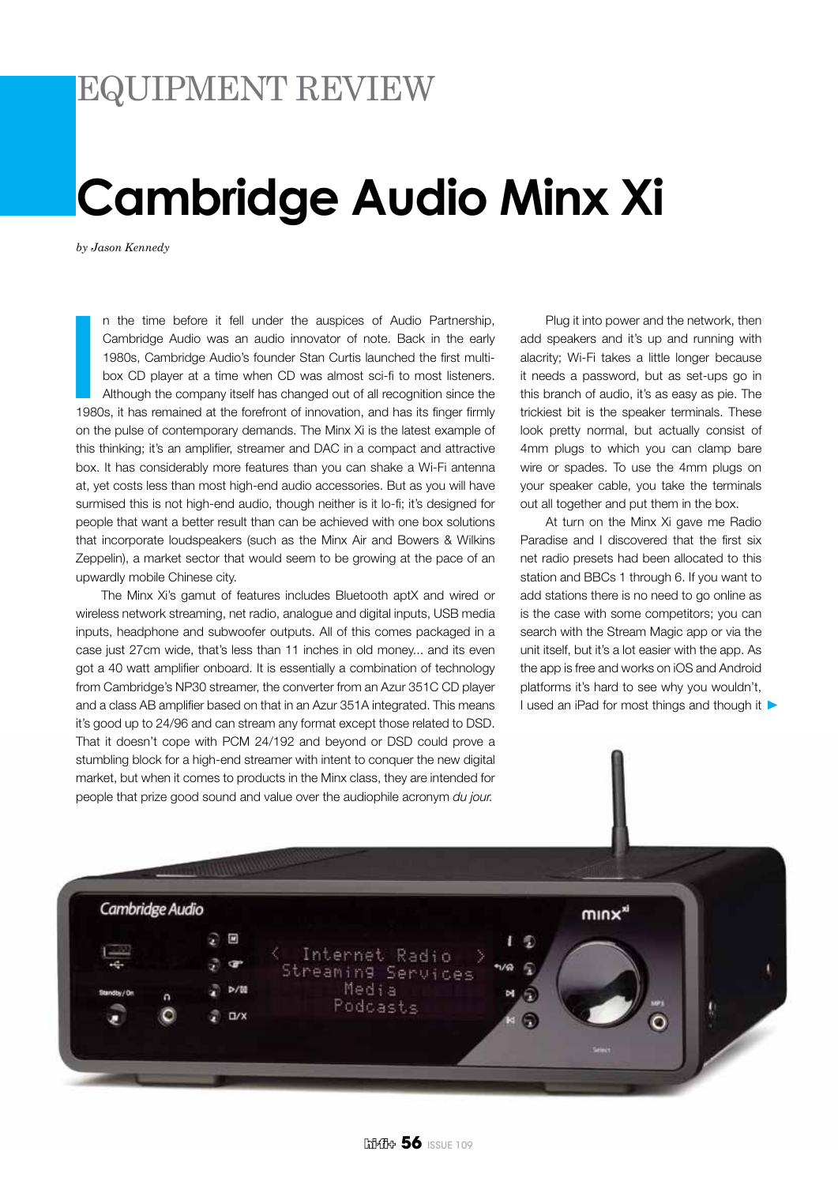## EQUIPMENT REVIEW

## **Cambridge Audio Minx Xi**

*by Jason Kennedy*

**I**<br>198 n the time before it fell under the auspices of Audio Partnership, Cambridge Audio was an audio innovator of note. Back in the early 1980s, Cambridge Audio's founder Stan Curtis launched the first multibox CD player at a time when CD was almost sci-fi to most listeners. Although the company itself has changed out of all recognition since the 1980s, it has remained at the forefront of innovation, and has its finger firmly on the pulse of contemporary demands. The Minx Xi is the latest example of this thinking; it's an amplifier, streamer and DAC in a compact and attractive box. It has considerably more features than you can shake a Wi-Fi antenna at, yet costs less than most high-end audio accessories. But as you will have surmised this is not high-end audio, though neither is it lo-fi; it's designed for people that want a better result than can be achieved with one box solutions that incorporate loudspeakers (such as the Minx Air and Bowers & Wilkins Zeppelin), a market sector that would seem to be growing at the pace of an upwardly mobile Chinese city.

The Minx Xi's gamut of features includes Bluetooth aptX and wired or wireless network streaming, net radio, analogue and digital inputs, USB media inputs, headphone and subwoofer outputs. All of this comes packaged in a case just 27cm wide, that's less than 11 inches in old money... and its even got a 40 watt amplifier onboard. It is essentially a combination of technology from Cambridge's NP30 streamer, the converter from an Azur 351C CD player and a class AB amplifier based on that in an Azur 351A integrated. This means it's good up to 24/96 and can stream any format except those related to DSD. That it doesn't cope with PCM 24/192 and beyond or DSD could prove a stumbling block for a high-end streamer with intent to conquer the new digital market, but when it comes to products in the Minx class, they are intended for people that prize good sound and value over the audiophile acronym *du jour.*

Plug it into power and the network, then add speakers and it's up and running with alacrity; Wi-Fi takes a little longer because it needs a password, but as set-ups go in this branch of audio, it's as easy as pie. The trickiest bit is the speaker terminals. These look pretty normal, but actually consist of 4mm plugs to which you can clamp bare wire or spades. To use the 4mm plugs on your speaker cable, you take the terminals out all together and put them in the box.

At turn on the Minx Xi gave me Radio Paradise and I discovered that the first six net radio presets had been allocated to this station and BBCs 1 through 6. If you want to add stations there is no need to go online as is the case with some competitors; you can search with the Stream Magic app or via the unit itself, but it's a lot easier with the app. As the app is free and works on iOS and Android platforms it's hard to see why you wouldn't, I used an iPad for most things and though it  $\blacktriangleright$ 

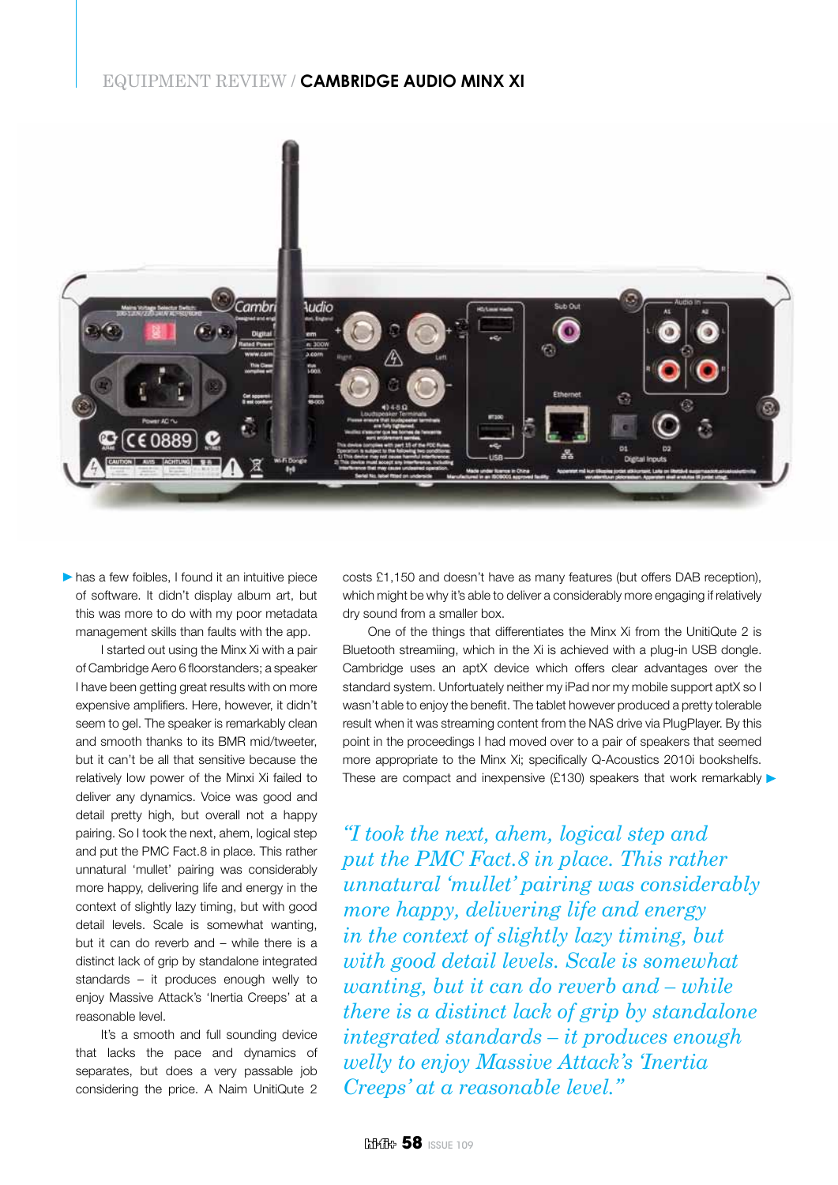## EQUIPMENT REVIEW / **Cambridge Audio Minx Xi**



 $\blacktriangleright$  has a few foibles, I found it an intuitive piece of software. It didn't display album art, but this was more to do with my poor metadata management skills than faults with the app.

I started out using the Minx Xi with a pair of Cambridge Aero 6 floorstanders; a speaker I have been getting great results with on more expensive amplifiers. Here, however, it didn't seem to gel. The speaker is remarkably clean and smooth thanks to its BMR mid/tweeter, but it can't be all that sensitive because the relatively low power of the Minxi Xi failed to deliver any dynamics. Voice was good and detail pretty high, but overall not a happy pairing. So I took the next, ahem, logical step and put the PMC Fact.8 in place. This rather unnatural 'mullet' pairing was considerably more happy, delivering life and energy in the context of slightly lazy timing, but with good detail levels. Scale is somewhat wanting, but it can do reverb and – while there is a distinct lack of grip by standalone integrated standards – it produces enough welly to enjoy Massive Attack's 'Inertia Creeps' at a reasonable level.

It's a smooth and full sounding device that lacks the pace and dynamics of separates, but does a very passable job considering the price. A Naim UnitiQute 2

costs £1,150 and doesn't have as many features (but offers DAB reception), which might be why it's able to deliver a considerably more engaging if relatively dry sound from a smaller box.

One of the things that differentiates the Minx Xi from the UnitiQute 2 is Bluetooth streamiing, which in the Xi is achieved with a plug-in USB dongle. Cambridge uses an aptX device which offers clear advantages over the standard system. Unfortuately neither my iPad nor my mobile support aptX so I wasn't able to enjoy the benefit. The tablet however produced a pretty tolerable result when it was streaming content from the NAS drive via PlugPlayer. By this point in the proceedings I had moved over to a pair of speakers that seemed more appropriate to the Minx Xi; specifically Q-Acoustics 2010i bookshelfs. These are compact and inexpensive (£130) speakers that work remarkably  $\blacktriangleright$ 

*"I took the next, ahem, logical step and put the PMC Fact.8 in place. This rather unnatural 'mullet' pairing was considerably more happy, delivering life and energy in the context of slightly lazy timing, but with good detail levels. Scale is somewhat wanting, but it can do reverb and – while there is a distinct lack of grip by standalone integrated standards – it produces enough welly to enjoy Massive Attack's 'Inertia Creeps' at a reasonable level."*